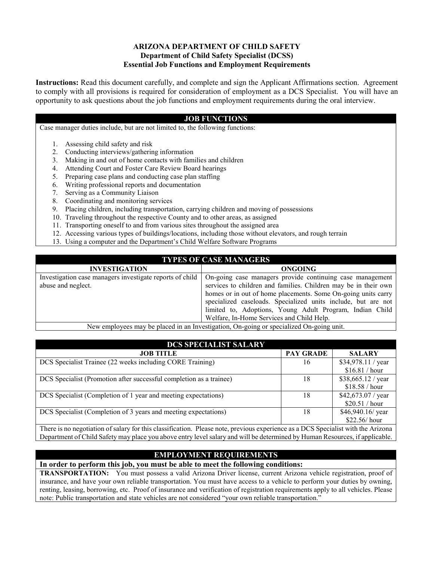## **ARIZONA DEPARTMENT OF CHILD SAFETY Department of Child Safety Specialist (DCSS) Essential Job Functions and Employment Requirements**

**Instructions:** Read this document carefully, and complete and sign the Applicant Affirmations section. Agreement to comply with all provisions is required for consideration of employment as a DCS Specialist. You will have an opportunity to ask questions about the job functions and employment requirements during the oral interview.

## **JOB FUNCTIONS**

Case manager duties include, but are not limited to, the following functions:

- 1. Assessing child safety and risk
- 2. Conducting interviews/gathering information
- 3. Making in and out of home contacts with families and children
- 4. Attending Court and Foster Care Review Board hearings
- 5. Preparing case plans and conducting case plan staffing
- 6. Writing professional reports and documentation
- 7. Serving as a Community Liaison
- 8. Coordinating and monitoring services
- 9. Placing children, including transportation, carrying children and moving of possessions
- 10. Traveling throughout the respective County and to other areas, as assigned
- 11. Transporting oneself to and from various sites throughout the assigned area
- 12. Accessing various types of buildings/locations, including those without elevators, and rough terrain
- 13. Using a computer and the Department's Child Welfare Software Programs

## **TYPES OF CASE MANAGERS**

| <b>INVESTIGATION</b>                                     | <b>ONGOING</b>                                                  |
|----------------------------------------------------------|-----------------------------------------------------------------|
| Investigation case managers investigate reports of child | On-going case managers provide continuing case management       |
| abuse and neglect.                                       | services to children and families. Children may be in their own |
|                                                          | homes or in out of home placements. Some On-going units carry   |
|                                                          | specialized caseloads. Specialized units include, but are not   |
|                                                          | limited to, Adoptions, Young Adult Program, Indian Child        |
|                                                          | Welfare, In-Home Services and Child Help.                       |
| $\sim$ $\sim$                                            |                                                                 |

New employees may be placed in an Investigation, On-going or specialized On-going unit.

| <b>DCS SPECIALIST SALARY</b>                                        |                  |                    |  |
|---------------------------------------------------------------------|------------------|--------------------|--|
| <b>JOB TITLE</b>                                                    | <b>PAY GRADE</b> | <b>SALARY</b>      |  |
| DCS Specialist Trainee (22 weeks including CORE Training)           | 16               | \$34,978.11 / year |  |
|                                                                     |                  | \$16.81 / hour     |  |
| DCS Specialist (Promotion after successful completion as a trainee) | 18               | \$38,665.12 / year |  |
|                                                                     |                  | \$18.58 / hour     |  |
| DCS Specialist (Completion of 1 year and meeting expectations)      | 18               | \$42,673.07 / year |  |
|                                                                     |                  | \$20.51 / hour     |  |
| DCS Specialist (Completion of 3 years and meeting expectations)     | 18               | \$46,940.16/ year  |  |
|                                                                     |                  | $$22.56/$ hour     |  |

There is no negotiation of salary for this classification. Please note, previous experience as a DCS Specialist with the Arizona Department of Child Safety may place you above entry level salary and will be determined by Human Resources, if applicable.

## **EMPLOYMENT REQUIREMENTS**

**In order to perform this job, you must be able to meet the following conditions:**

**TRANSPORTATION:** You must possess a valid Arizona Driver license, current Arizona vehicle registration, proof of insurance, and have your own reliable transportation. You must have access to a vehicle to perform your duties by owning, renting, leasing, borrowing, etc. Proof of insurance and verification of registration requirements apply to all vehicles. Please note: Public transportation and state vehicles are not considered "your own reliable transportation."